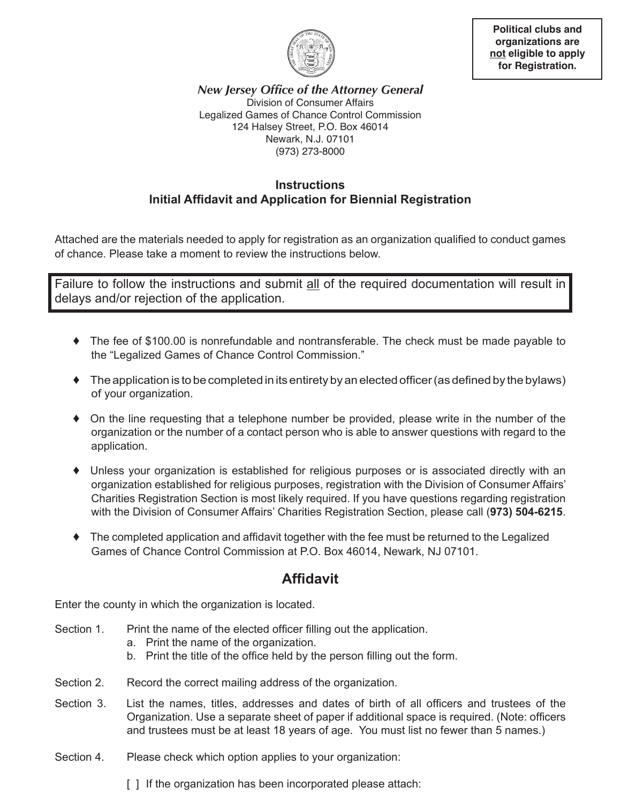

**Political clubs and organizations are not eligible to apply for Registration.**

*New Jersey Office of the Attorney General* Division of Consumer Affairs Legalized Games of Chance Control Commission 124 Halsey Street, P.O. Box 46014 Newark, N.J. 07101 (973) 273-8000

## **Instructions Initial Affidavit and Application for Biennial Registration**

Attached are the materials needed to apply for registration as an organization qualified to conduct games of chance. Please take a moment to review the instructions below.

Failure to follow the instructions and submit all of the required documentation will result in delays and/or rejection of the application.

- ♦ The fee of \$100.00 is nonrefundable and nontransferable. The check must be made payable to the "Legalized Games of Chance Control Commission."
- ♦ The application is to be completed in its entirety by an elected officer (as defined by the bylaws) of your organization.
- ♦ On the line requesting that a telephone number be provided, please write in the number of the organization or the number of a contact person who is able to answer questions with regard to the application.
- ♦ Unless your organization is established for religious purposes or is associated directly with an organization established for religious purposes, registration with the Division of Consumer Affairs' Charities Registration Section is most likely required. If you have questions regarding registration with the Division of Consumer Affairs' Charities Registration Section, please call (**973) 504-6215**.
- ♦ The completed application and affidavit together with the fee must be returned to the Legalized Games of Chance Control Commission at P.O. Box 46014, Newark, NJ 07101.

## **Affidavit**

Enter the county in which the organization is located.

- Section 1. Print the name of the elected officer filling out the application.
	- a. Print the name of the organization.
	- b. Print the title of the office held by the person filling out the form.
- Section 2. Record the correct mailing address of the organization.
- Section 3. List the names, titles, addresses and dates of birth of all officers and trustees of the Organization. Use a separate sheet of paper if additional space is required. (Note: officers and trustees must be at least 18 years of age. You must list no fewer than 5 names.)
- Section 4. Please check which option applies to your organization:

[] If the organization has been incorporated please attach: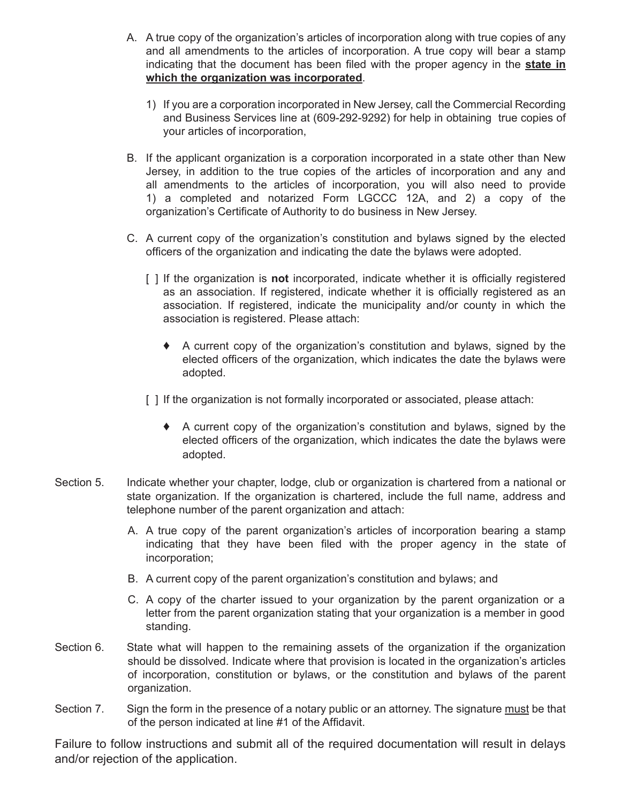- A. A true copy of the organization's articles of incorporation along with true copies of any and all amendments to the articles of incorporation. A true copy will bear a stamp indicating that the document has been filed with the proper agency in the **state in which the organization was incorporated**.
	- 1) If you are a corporation incorporated in New Jersey, call the Commercial Recording and Business Services line at (609-292-9292) for help in obtaining true copies of your articles of incorporation,
- B. If the applicant organization is a corporation incorporated in a state other than New Jersey, in addition to the true copies of the articles of incorporation and any and all amendments to the articles of incorporation, you will also need to provide 1) a completed and notarized Form LGCCC 12A, and 2) a copy of the organization's Certificate of Authority to do business in New Jersey.
- C. A current copy of the organization's constitution and bylaws signed by the elected officers of the organization and indicating the date the bylaws were adopted.
	- [ ] If the organization is **not** incorporated, indicate whether it is officially registered as an association. If registered, indicate whether it is officially registered as an association. If registered, indicate the municipality and/or county in which the association is registered. Please attach:
		- ♦ A current copy of the organization's constitution and bylaws, signed by the elected officers of the organization, which indicates the date the bylaws were adopted.
	- [ ] If the organization is not formally incorporated or associated, please attach:
		- ♦ A current copy of the organization's constitution and bylaws, signed by the elected officers of the organization, which indicates the date the bylaws were adopted.
- Section 5. Indicate whether your chapter, lodge, club or organization is chartered from a national or state organization. If the organization is chartered, include the full name, address and telephone number of the parent organization and attach:
	- A. A true copy of the parent organization's articles of incorporation bearing a stamp indicating that they have been filed with the proper agency in the state of incorporation;
	- B. A current copy of the parent organization's constitution and bylaws; and
	- C. A copy of the charter issued to your organization by the parent organization or a letter from the parent organization stating that your organization is a member in good standing.
- Section 6. State what will happen to the remaining assets of the organization if the organization should be dissolved. Indicate where that provision is located in the organization's articles of incorporation, constitution or bylaws, or the constitution and bylaws of the parent organization.
- Section 7. Sign the form in the presence of a notary public or an attorney. The signature must be that of the person indicated at line #1 of the Affidavit.

Failure to follow instructions and submit all of the required documentation will result in delays and/or rejection of the application.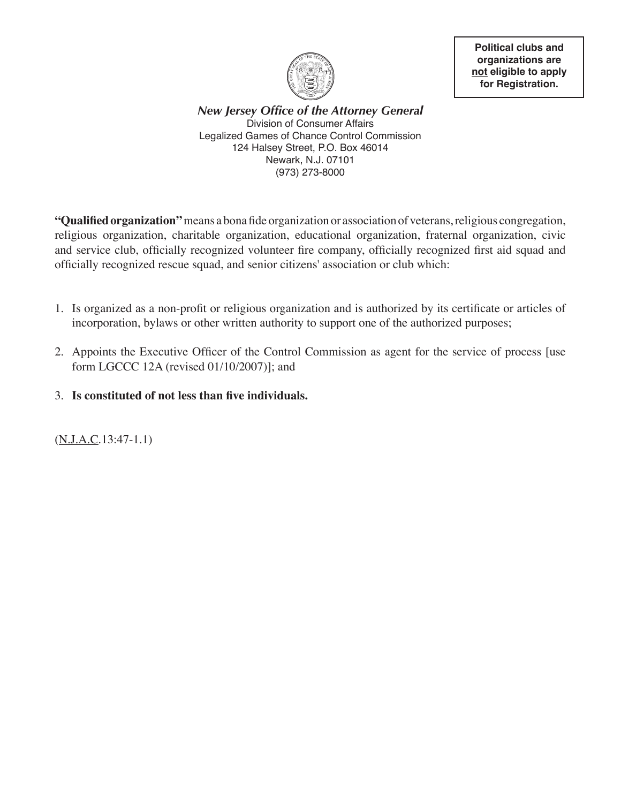

**Political clubs and organizations are not eligible to apply for Registration.**

*New Jersey Office of the Attorney General* Division of Consumer Affairs Legalized Games of Chance Control Commission 124 Halsey Street, P.O. Box 46014 Newark, N.J. 07101 (973) 273-8000

**"Qualified organization"** means a bona fide organization or association of veterans, religious congregation, religious organization, charitable organization, educational organization, fraternal organization, civic and service club, officially recognized volunteer fire company, officially recognized first aid squad and officially recognized rescue squad, and senior citizens' association or club which:

- 1. Is organized as a non-profit or religious organization and is authorized by its certificate or articles of incorporation, bylaws or other written authority to support one of the authorized purposes;
- 2. Appoints the Executive Officer of the Control Commission as agent for the service of process [use form LGCCC 12A (revised 01/10/2007)]; and
- 3. **Is constituted of not less than five individuals.**

(N.J.A.C.13:47-1.1)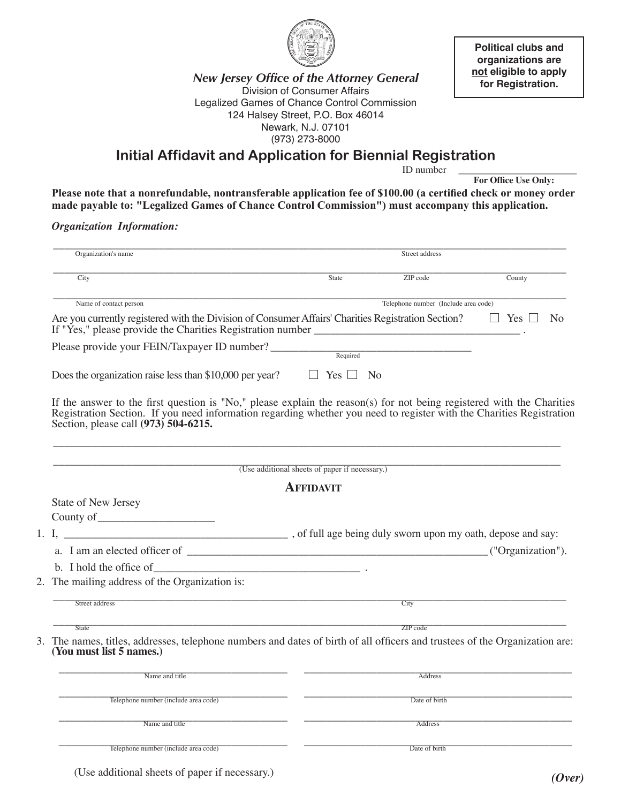

**Political clubs and organizations are not eligible to apply for Registration.**

*New Jersey Office of the Attorney General* Division of Consumer Affairs Legalized Games of Chance Control Commission 124 Halsey Street, P.O. Box 46014 Newark, N.J. 07101 (973) 273-8000

**Initial Affidavit and Application for Biennial Registration** 

ID number

**For Office Use Only:**

**Please note that a nonrefundable, nontransferable application fee of \$100.00 (a certified check or money order made payable to: "Legalized Games of Chance Control Commission") must accompany this application.**

*Organization Information:*

|                                                                                                                                                                                                                                                                       |                                                | Street address                       |                    |
|-----------------------------------------------------------------------------------------------------------------------------------------------------------------------------------------------------------------------------------------------------------------------|------------------------------------------------|--------------------------------------|--------------------|
| City                                                                                                                                                                                                                                                                  | State                                          | ZIP code                             | County             |
| Name of contact person                                                                                                                                                                                                                                                |                                                | Telephone number (Include area code) |                    |
| Are you currently registered with the Division of Consumer Affairs' Charities Registration Section?<br>If "Yes," please provide the Charities Registration number ______________________                                                                              |                                                |                                      | Yes $\Box$<br>- No |
| Please provide your FEIN/Taxpayer ID number?                                                                                                                                                                                                                          | Required                                       |                                      |                    |
| Does the organization raise less than \$10,000 per year?                                                                                                                                                                                                              | Yes $\Box$                                     | No                                   |                    |
| If the answer to the first question is "No," please explain the reason(s) for not being registered with the Charities Registration Section. If you need information regarding whether you need to register with the Charities<br>Section, please call (973) 504-6215. |                                                |                                      |                    |
|                                                                                                                                                                                                                                                                       | (Use additional sheets of paper if necessary.) |                                      |                    |
|                                                                                                                                                                                                                                                                       | <b>AFFIDAVIT</b>                               |                                      |                    |
| State of New Jersey                                                                                                                                                                                                                                                   |                                                |                                      |                    |
|                                                                                                                                                                                                                                                                       |                                                |                                      |                    |
|                                                                                                                                                                                                                                                                       |                                                |                                      |                    |
|                                                                                                                                                                                                                                                                       |                                                |                                      |                    |
|                                                                                                                                                                                                                                                                       |                                                |                                      |                    |
|                                                                                                                                                                                                                                                                       |                                                |                                      |                    |
| The mailing address of the Organization is:                                                                                                                                                                                                                           |                                                |                                      | ("Organization").  |
| Street address                                                                                                                                                                                                                                                        |                                                | City                                 |                    |
| <b>State</b>                                                                                                                                                                                                                                                          |                                                | ZIP code                             |                    |
| 3. The names, titles, addresses, telephone numbers and dates of birth of all officers and trustees of the Organization are:<br>(You must list 5 names.)                                                                                                               |                                                |                                      |                    |
| Name and title                                                                                                                                                                                                                                                        |                                                | Address                              |                    |
| Telephone number (include area code)                                                                                                                                                                                                                                  |                                                | Date of birth                        |                    |
| Name and title                                                                                                                                                                                                                                                        |                                                | Address                              |                    |

(Use additional sheets of paper if necessary.) *(Over)*